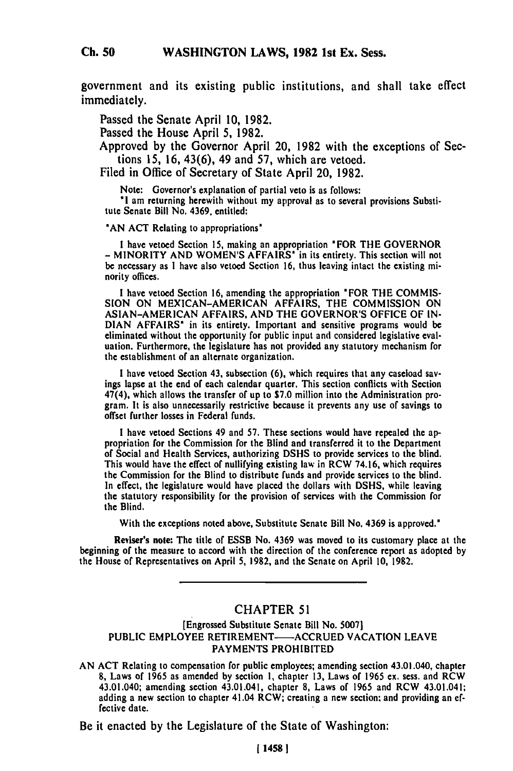government and its existing public institutions, and shall take effect immediately.

Passed the Senate April 10, 1982.

Passed the House April 5, 1982.

Approved by the Governor April 20, 1982 with the exceptions of Sections 15, 16, 43(6), 49 and 57, which are vetoed.

Filed in Office of Secretary of State April 20, 1982.

Note: Governor's explanation of partial veto is as follows:

**"I** am returning herewith without my approval as to several provisions Substitute Senate Bill No. 4369. entitled:

**'AN ACT** Relating to appropriations'

**<sup>I</sup>**have vetoed Section **15,** making an appropriation 'FOR THE GOVERNOR - MINORITY **AND WOMEN'S** AFFAIRS' in its entirety. This section will not be necessary as **I** have also vetoed Section **16,** thus leaving intact the existing minority offices.

**I** have vetoed Section **16,** amending the appropriation 'FOR THE COMMIS-**SION** ON MEXICAN-AMERICAN AFFAIRS, THE COMMISSION ON **ASIAN-AMERICAN** AFFAIRS, **AND** THE GOVERNOR'S **OFFICE** OF **IN-DIAN** AFFAIRS' in its entirety. Important and sensitive programs would be DIAN AFFAIRS' in its entirety. Important and sensitive programs would be eliminated without the opportunity for public input and considered legislative evaluation. Furthermore, the legislature has not provided any statutory mechanism for the establishment of an alternate organization.

I have vetoed Section 43, subsection (6), which requires that any caseload savings lapse at the end of each calendar quarter. This section conflicts with Section 47(4), which allows the transfer of up to \$7.0 million into the Administration program. It is also unnecessarily restrictive because it prevents any use of savings to offset further losses in Federal funds.

I have vetoed Sections 49 and 57. These sections would have repealed the appropriation for the Commission for the Blind and transferred it to the Department of Social and Health Services, authorizing DSHS to provide services to the blind. This would have the effect of nullifying existing law in RCW 74.16, which requires the Commission for the Blind to distribute funds and provide services to the blind. In effect, the legislature would have placed the dollars with **DSHS,** while leaving the statutory responsibility for the provision of services with the Commission for the Blind.

With the exceptions noted above, Substitute Senate Bill No. 4369 is approved."

Reviser's note: The title of ESSB No. 4369 was moved to its customary place at the beginning of the measure to accord with the direction of the conference report as adopted **by** the House of Representatives on April 5, 1982, and the Senate on April 10, 1982.

## CHAPTER 51

## [Engrossed Substitute Senate Bill No. 5007) PUBLIC EMPLOYEE RETIREMENT-ACCRUED VACATION LEAVE PAYMENTS PROHIBITED

AN ACT Relating to compensation for public employees; amending section 43.01.040, chapter **8,** Laws of 1965 as amended by section **1,** chapter 13, Laws of 1965 ex. sess. and RCW  $\sigma$ , Laws of 1965 as amended by section 1, chapter 15, Laws of 1965 ex. sess. and RCW<br>43.01.040; amending section 43.01.041; elements 8, Laws of 1966 and DOW 43.01.041; 43.01.040; amending section 43.01.041, chapter 8, Laws of 1965 and RCW 43.01.041; adding a new section to chapter 41.04 RCW; creating a new section and providing an effective date.

Be it enacted by the Legislature of the State of Washington: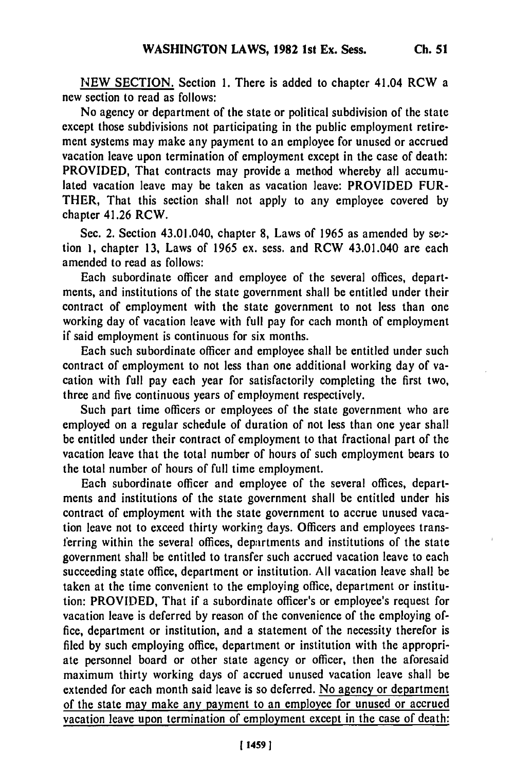NEW SECTION. Section **1.** There is added to chapter 41.04 RCW a new section to read as follows:

No agency or department of the state or political subdivision of the state except those subdivisions not participating in the public employment retirement systems may make any payment to an employee for unused or accrued vacation leave upon termination of employment except in the case of death: PROVIDED, That contracts may provide a method whereby all accumulated vacation leave may be taken as vacation leave: PROVIDED FUR-THER, That this section shall not apply to any employee covered **by** chapter 41.26 RCW.

Sec. 2. Section 43.01.040, chapter **8,** Laws of 1965 as amended **by** set. tion **1,** chapter **13,** Laws of 1965 ex. sess. and RCW 43.01.040 are each amended to read as follows:

Each subordinate officer and employee of the several offices, departments, and institutions of the state government shall be entitled under their contract of employment with the state government to not less than one working day of vacation leave with full pay for each month of employment if said employment is continuous for six months.

Each such subordinate officer and employee shall be entitled under such contract of employment to not less than one additional working day of vacation with full pay each year for satisfactorily completing the first two, three and five continuous years of employment respectively.

Such part time officers or employees of the state government who are employed on a regular schedule of duration of not less than one year shall be entitled under their contract of employment to that fractional part of the vacation leave that the total number of hours of such employment bears to the total number of hours of full time employment.

Each subordinate officer and employee of the several offices, departments and institutions of the state government shall be entitled under his contract of employment with the state government to accrue unused vacation leave not to exceed thirty working days. Officers and employees transferring within the several offices, departments and institutions of the state government shall be entitled to transfer such accrued vacation leave to each succeeding state office, department or institution. All vacation leave shall be taken at the time convenient to the employing office, department or institution: PROVIDED, That if a subordinate officer's or employee's request for vacation leave is deferred by reason of the convenience of the employing office, department or institution, and a statement of the necessity therefor is filed by such employing office, department or institution with the appropriate personnel board or other state agency or officer, then the aforesaid maximum thirty working days of accrued unused vacation leave shall be extended for each month said leave is so deferred. No agency or department of the state may make any payment to an employee for unused or accrued vacation leave upon termination of employment except in the case of death: